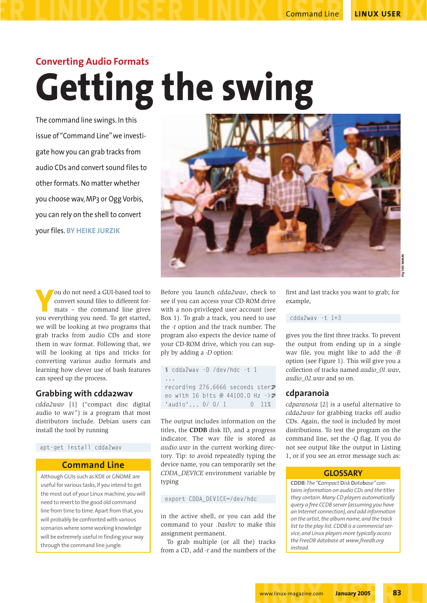# Command Line **LINUX USER**

# **Converting Audio Formats Getting the swing**

The command line swings. In this issue of "Command Line" we investigate how you can grab tracks from audio CDs and convert sound files to other formats. No matter whether you choose wav, MP3 or Ogg Vorbis, you can rely on the shell to convert your files. **BY HEIKE JURZIK**



**Y**ou do not need a GUI-based tool to convert sound files to different formats – the command line gives you everything you need. To get started. convert sound files to different formats – the command line gives you everything you need. To get started, we will be looking at two programs that grab tracks from audio CDs and store them in wav format. Following that, we will be looking at tips and tricks for converting various audio formats and learning how clever use of bash features can speed up the process.

# **Grabbing with cdda2wav**

*cdda2wav* [1] ("compact disc digital audio to wav") is a program that most distributors include. Debian users can install the tool by running

apt-get install cdda2wav

# **Command Line**

Although GUIs such as KDE or GNOME are useful for various tasks, if you intend to get the most out of your Linux machine, you will need to revert to the good old command line from time to time. Apart from that, you will probably be confronted with various scenarios where some working knowledge will be extremely useful in finding your way through the command line jungle.

Before you launch *cdda2wav*, check to see if you can access your CD-ROM drive with a non-privileged user account (see Box 1). To grab a track, you need to use the *-t* option and the track number. The program also expects the device name of your CD-ROM drive, which you can supply by adding a *-D* option:

```
$ cdda2wav -D /dev/hdc -t 1
...
recording 276.6666 seconds ster\overline{z}eo with 16 bits @ 44100.0 Hz \rightarrow'audio'... 0/ 0/ 1 0 11%
```
The output includes information on the titles, the **CDDB** disk ID, and a progress indicator. The wav file is stored as *audio.wav* in the current working directory. Tip: to avoid repeatedly typing the device name, you can temporarily set the *CDDA\_DEVICE* environment variable by typing

## export CDDA\_DEVICE=/dev/hdc

in the active shell, or you can add the command to your *.bashrc* to make this assignment permanent.

To grab multiple (or all the) tracks from a CD, add *-t* and the numbers of the first and last tracks you want to grab; for example,

cdda2wav -t 1+3

gives you the first three tracks. To prevent the output from ending up in a single wav file, you might like to add the *-B* option (see Figure 1). This will give you a collection of tracks named *audio\_01.wav*, *audio\_02.wav* and so on.

# **cdparanoia**

*cdparanoia* [2] is a useful alternative to *cdda2wav* for grabbing tracks off audio CDs. Again, the tool is included by most distributions. To test the program on the command line, set the *-Q* flag. If you do not see output like the output in Listing 1, or if you see an error message such as:

## **GLOSSARY**

**CDDB***:The "***C***ompact* **D***isk* **D***ata***b***ase"contains information on audio CDs and the titles they contain. Many CD players automatically query a free CCDB server (assuming you have an Internet connection), and add information on the artist, the album name, and the track list to the play list. CDDB is a commercial service, and Linux players more typically access the FreeDB database at www.freedb.org instead.*

**www.sxc.hu** WW.SXC.ht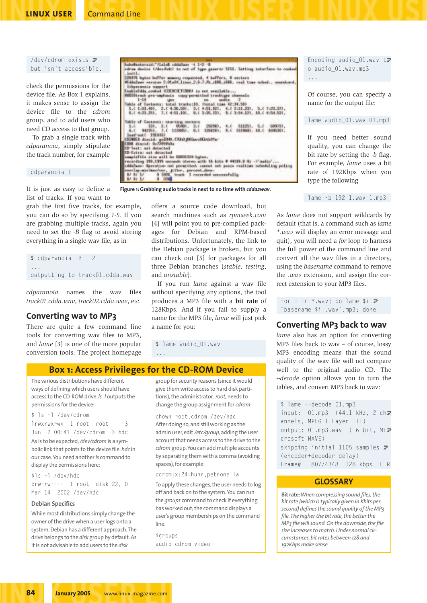### **LINUX USER** Command Line

## /dev/cdrom exists  $\overline{z}$ but isn't accessible.

check the permissions for the device file. As Box 1 explains, it makes sense to assign the device file to the *cdrom* group, and to add users who need CD access to that group.

To grab a single track with *cdparanoia*, simply stipulate the track number, for example

| cdparanoia 1 |  |
|--------------|--|
|              |  |
|              |  |
|              |  |

It is just as easy to define a list of tracks. If you want to

grab the first five tracks, for example, you can do so by specifying *1-5*. If you are grabbing multiple tracks, again you need to set the *-B* flag to avoid storing everything in a single wav file, as in

```
$ cdparanoia -B 1-2
...
outputting to track01.cdda.wav
```
*cdparanoia* names the wav files *track01.cdda.wav*, *track02.cdda.wav*, etc.

# **Converting wav to MP3**

There are quite a few command line tools for converting wav files to MP3, and *lame* [3] is one of the more popular conversion tools. The project homepage

| <b>Nummersternall, rasses consumer 1 i'm B</b><br>circa device Lider/hdcl in not of type generar SESI. Setting interface to conked<br>Loct I.<br>120876 hytes buffer memory requested, 4 buffers, 1 sectors |
|-------------------------------------------------------------------------------------------------------------------------------------------------------------------------------------------------------------|
| #Calabuar werston 2.01x34 linux 2.6.7.fb :686 :686, real time school coundcard.                                                                                                                             |
| Ithnaravaia support                                                                                                                                                                                         |
| EmableCdds_cooked COIDOSETCDDVU in not available                                                                                                                                                            |
| RODOOtrack pre-umphanin copy-pormitted tracktage channels                                                                                                                                                   |
| $1 - 10$<br>audits 2                                                                                                                                                                                        |
| Isble of Conteniu: total tracks:10, itotal time 42:34.500                                                                                                                                                   |
| 1.(1:51.40), 2.(4:05.50), 3.(4:51.02), 4.(2:11.23), 5.(7:23.37),                                                                                                                                            |
| 6.( 4:23.25), 7.( 4:51.10), 8.( 3:35.23), 9.( 3:54.12), 10.( 4:54.53),                                                                                                                                      |
| Table of Contents: starting sectors<br>1.4 301, 2.4 86-801, 3.4 282980, 4.4 511250, 5.4 609731,<br>6. ( 94235), 7. ( 113985), 8.1 1358200, 8. ( 151968), 10. ( 109530),<br><b>Sead-out! 1916331</b>         |
| COUNCER directed: graD00.f7000.p088avvrlEbtb87a-                                                                                                                                                            |
| CBBB discid: 0x7209fb0a                                                                                                                                                                                     |
| CB-Test: not detected                                                                                                                                                                                       |
| <b>CD-Extra:</b> sat detected                                                                                                                                                                               |
| samplefile size will be GONNIGON bates.                                                                                                                                                                     |
| recording 290.1999 meconds stereo with 15 bits # 44588.8 Nz ->'mudio'                                                                                                                                       |
| considers theration not permitted, commet set passa realtime scheduling policy                                                                                                                              |
| seering sticlarcour, Hiter, percent done;                                                                                                                                                                   |
| 8/ 8/ 1/ 0 100% truck 1 recorded paccessfully                                                                                                                                                               |
| 8/8/1/ 0 331                                                                                                                                                                                                |

**Figure 1: Grabbing audio tracks in next to no time with** *cdda2wav***.**

offers a source code download, but search machines such as *rpmseek.com* [4] will point you to pre-compiled packages for Debian and RPM-based distributions. Unfortunately, the link to the Debian package is broken, but you can check out [5] for packages for all three Debian branches (*stable*, *testing*, and *unstable*).

If you run *lame* against a wav file without specifying any options, the tool produces a MP3 file with a **bit rate** of 128Kbps. And if you fail to supply a name for the MP3 file, *lame* will just pick a name for you:

\$ lame audio\_01.wav

...

# **Box 1: Access Privileges for the CD-ROM Device**

The various distributions have different ways of defining which users should have access to the CD-ROM drive.*ls -l* outputs the permissions for the device:

#### \$ ls -l /dev/cdrom

lrwxrwxrwx 1 root root 3 Jun 7 00:41 /dev/cdrom -> hdc As is to be expected, */dev/cdrom* is a symbolic link that points to the device file:*hdc* in our case.You need another *ls* command to display the permissions here:

\$ls -l /dev/hdc brw-rw---- 1 root disk 22, 0 Mar 14 2002 /dev/hdc

#### **Debian Specifics**

While most distributions simply change the owner of the drive when a user logs onto a system, Debian has a different approach.The drive belongs to the *disk* group by default. As it is not advisable to add users to the *disk*

group for security reasons (since it would give them write access to hard disk partitions), the administrator, *root,* needs to change the group assignment for *cdrom*:

chown root.cdrom /dev/hdc After doing so, and still working as the admin user, edit */etc/group*,adding the user account that needs access to the drive to the *cdrom* group.You can add multiple accounts by separating them with a comma (avoiding spaces), for example:

#### cdrom:x:24:huhn,petronella

To apply these changes, the user needs to log off and back on to the system.You can run the *groups* command to check if everything has worked out; the command displays a user's group memberships on the command line:

\$groups audio cdrom video Encoding audio  $01$ .wav tz o audio\_01.wav.mp3 ...

Of course, you can specify a name for the output file:

#### lame audio\_01.wav 01.mp3

If you need better sound quality, you can change the bit rate by setting the *-b* flag. For example, *lame* uses a bit rate of 192Kbps when you type the following

lame -b 192 1.wav 1.mp3

As *lame* does not support wildcards by default (that is, a command such as *lame \*.wav* will display an error message and quit), you will need a *for* loop to harness the full power of the command line and convert all the wav files in a directory, using the *basename* command to remove the *.wav* extension, and assign the correct extension to your MP3 files.

for i in  $*$ .wav; do lame \$i  $\geq$ `basename \$i .wav`.mp3; done

## **Converting MP3 back to wav**

*lame* also has an option for converting MP3 files back to wav – of course, lossy MP3 encoding means that the sound quality of the wav file will not compare well to the original audio CD. The *--decode* option allows you to turn the tables, and convert MP3 back to wav:

\$ lame --decode 01.mp3 input:  $01.mp3$  (44.1 kHz, 2 ch $\overline{z}$ annels, MPEG-1 Layer III) output:  $01.mp3.wav$  (16 bit, Miz crosoft WAVE) skipping initial 1105 samples  $\overline{z}$ (encoder+decoder delay) Frame# 807/4348 128 kbps L R

## **GLOSSARY**

**Bit rate***:When compressing sound files, the bit rate (which is typically given in Kbits per second) defines the sound quality of the MP3 file.The higher the bit rate, the better the MP3 file will sound. On the downside, the file size increases to match. Under normal circumstances, bit rates between 128 and 192Kbps make sense.*